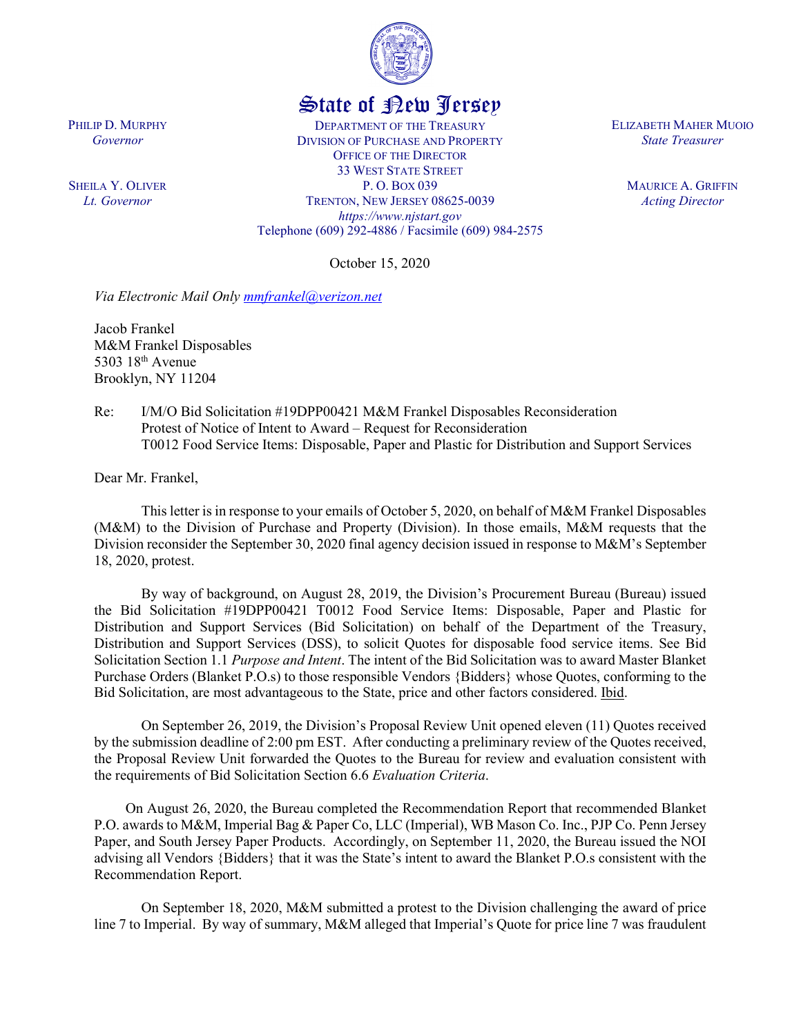

## State of New Jersey

DEPARTMENT OF THE TREASURY DIVISION OF PURCHASE AND PROPERTY OFFICE OF THE DIRECTOR 33 WEST STATE STREET P. O. BOX 039 TRENTON, NEW JERSEY 08625-0039 *https://www.njstart.gov* Telephone (609) 292-4886 / Facsimile (609) 984-2575

October 15, 2020

*Via Electronic Mail Only [mmfrankel@verizon.net](mailto:mmfrankel@verizon.net)*

Jacob Frankel M&M Frankel Disposables 5303 18th Avenue Brooklyn, NY 11204

Re: I/M/O Bid Solicitation #19DPP00421 M&M Frankel Disposables Reconsideration Protest of Notice of Intent to Award – Request for Reconsideration T0012 Food Service Items: Disposable, Paper and Plastic for Distribution and Support Services

Dear Mr. Frankel,

PHILIP D. MURPHY *Governor*

SHEILA Y. OLIVER *Lt. Governor*

> This letter is in response to your emails of October 5, 2020, on behalf of M&M Frankel Disposables (M&M) to the Division of Purchase and Property (Division). In those emails, M&M requests that the Division reconsider the September 30, 2020 final agency decision issued in response to M&M's September 18, 2020, protest.

> By way of background, on August 28, 2019, the Division's Procurement Bureau (Bureau) issued the Bid Solicitation #19DPP00421 T0012 Food Service Items: Disposable, Paper and Plastic for Distribution and Support Services (Bid Solicitation) on behalf of the Department of the Treasury, Distribution and Support Services (DSS), to solicit Quotes for disposable food service items. See Bid Solicitation Section 1.1 *Purpose and Intent*. The intent of the Bid Solicitation was to award Master Blanket Purchase Orders (Blanket P.O.s) to those responsible Vendors {Bidders} whose Quotes, conforming to the Bid Solicitation, are most advantageous to the State, price and other factors considered. Ibid.

> On September 26, 2019, the Division's Proposal Review Unit opened eleven (11) Quotes received by the submission deadline of 2:00 pm EST. After conducting a preliminary review of the Quotes received, the Proposal Review Unit forwarded the Quotes to the Bureau for review and evaluation consistent with the requirements of Bid Solicitation Section 6.6 *Evaluation Criteria*.

> On August 26, 2020, the Bureau completed the Recommendation Report that recommended Blanket P.O. awards to M&M, Imperial Bag & Paper Co, LLC (Imperial), WB Mason Co. Inc., PJP Co. Penn Jersey Paper, and South Jersey Paper Products. Accordingly, on September 11, 2020, the Bureau issued the NOI advising all Vendors {Bidders} that it was the State's intent to award the Blanket P.O.s consistent with the Recommendation Report.

> On September 18, 2020, M&M submitted a protest to the Division challenging the award of price line 7 to Imperial. By way of summary, M&M alleged that Imperial's Quote for price line 7 was fraudulent

ELIZABETH MAHER MUOIO *State Treasurer*

> MAURICE A. GRIFFIN *Acting Director*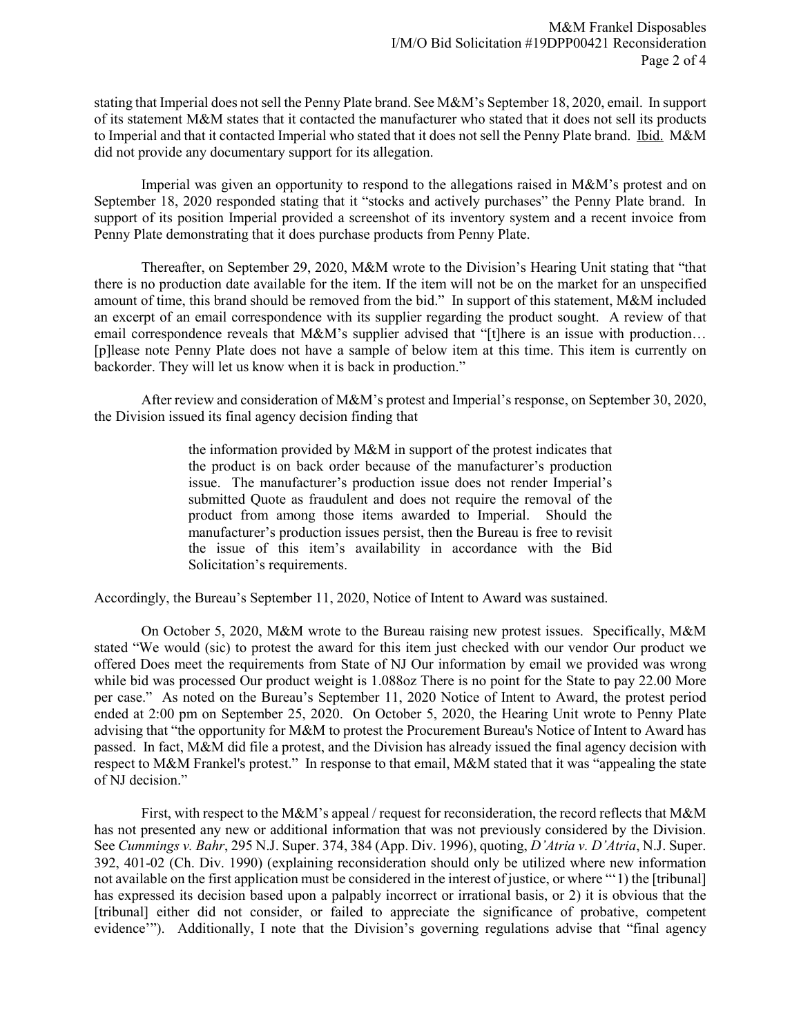stating that Imperial does not sell the Penny Plate brand. See M&M's September 18, 2020, email. In support of its statement M&M states that it contacted the manufacturer who stated that it does not sell its products to Imperial and that it contacted Imperial who stated that it does not sell the Penny Plate brand. Ibid. M&M did not provide any documentary support for its allegation.

Imperial was given an opportunity to respond to the allegations raised in M&M's protest and on September 18, 2020 responded stating that it "stocks and actively purchases" the Penny Plate brand. In support of its position Imperial provided a screenshot of its inventory system and a recent invoice from Penny Plate demonstrating that it does purchase products from Penny Plate.

Thereafter, on September 29, 2020, M&M wrote to the Division's Hearing Unit stating that "that there is no production date available for the item. If the item will not be on the market for an unspecified amount of time, this brand should be removed from the bid." In support of this statement, M&M included an excerpt of an email correspondence with its supplier regarding the product sought. A review of that email correspondence reveals that M&M's supplier advised that "[t]here is an issue with production... [p]lease note Penny Plate does not have a sample of below item at this time. This item is currently on backorder. They will let us know when it is back in production."

After review and consideration of M&M's protest and Imperial's response, on September 30, 2020, the Division issued its final agency decision finding that

> the information provided by M&M in support of the protest indicates that the product is on back order because of the manufacturer's production issue. The manufacturer's production issue does not render Imperial's submitted Quote as fraudulent and does not require the removal of the product from among those items awarded to Imperial. Should the manufacturer's production issues persist, then the Bureau is free to revisit the issue of this item's availability in accordance with the Bid Solicitation's requirements.

Accordingly, the Bureau's September 11, 2020, Notice of Intent to Award was sustained.

On October 5, 2020, M&M wrote to the Bureau raising new protest issues. Specifically, M&M stated "We would (sic) to protest the award for this item just checked with our vendor Our product we offered Does meet the requirements from State of NJ Our information by email we provided was wrong while bid was processed Our product weight is 1.088oz There is no point for the State to pay 22.00 More per case." As noted on the Bureau's September 11, 2020 Notice of Intent to Award, the protest period ended at 2:00 pm on September 25, 2020. On October 5, 2020, the Hearing Unit wrote to Penny Plate advising that "the opportunity for M&M to protest the Procurement Bureau's Notice of Intent to Award has passed. In fact, M&M did file a protest, and the Division has already issued the final agency decision with respect to M&M Frankel's protest." In response to that email, M&M stated that it was "appealing the state of NJ decision."

First, with respect to the M&M's appeal / request for reconsideration, the record reflects that M&M has not presented any new or additional information that was not previously considered by the Division. See *Cummings v. Bahr*, 295 N.J. Super. 374, 384 (App. Div. 1996), quoting, *D'Atria v. D'Atria*, N.J. Super. 392, 401-02 (Ch. Div. 1990) (explaining reconsideration should only be utilized where new information not available on the first application must be considered in the interest of justice, or where "'1) the [tribunal] has expressed its decision based upon a palpably incorrect or irrational basis, or 2) it is obvious that the [tribunal] either did not consider, or failed to appreciate the significance of probative, competent evidence'"). Additionally, I note that the Division's governing regulations advise that "final agency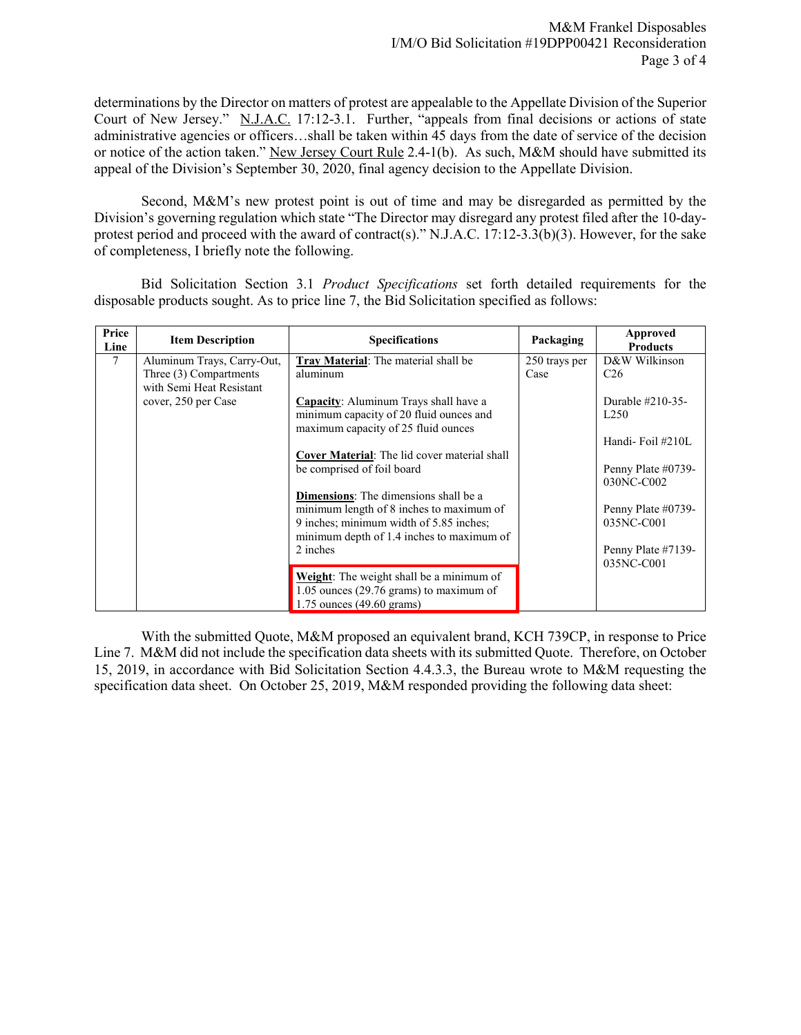determinations by the Director on matters of protest are appealable to the Appellate Division of the Superior Court of New Jersey." N.J.A.C. 17:12-3.1. Further, "appeals from final decisions or actions of state administrative agencies or officers…shall be taken within 45 days from the date of service of the decision or notice of the action taken." New Jersey Court Rule 2.4-1(b). As such, M&M should have submitted its appeal of the Division's September 30, 2020, final agency decision to the Appellate Division.

Second, M&M's new protest point is out of time and may be disregarded as permitted by the Division's governing regulation which state "The Director may disregard any protest filed after the 10-dayprotest period and proceed with the award of contract(s)." N.J.A.C. 17:12-3.3(b)(3). However, for the sake of completeness, I briefly note the following.

Bid Solicitation Section 3.1 *Product Specifications* set forth detailed requirements for the disposable products sought. As to price line 7, the Bid Solicitation specified as follows:

| Price<br>Line | <b>Item Description</b>                         | <b>Specifications</b>                                                                | Packaging     | Approved<br><b>Products</b>      |
|---------------|-------------------------------------------------|--------------------------------------------------------------------------------------|---------------|----------------------------------|
| 7             | Aluminum Trays, Carry-Out,                      | Tray Material: The material shall be                                                 | 250 trays per | D&W Wilkinson                    |
|               | Three (3) Compartments                          | aluminum                                                                             | Case          | C <sub>26</sub>                  |
|               | with Semi Heat Resistant<br>cover, 250 per Case | Capacity: Aluminum Trays shall have a                                                |               | Durable $\#210-35-$              |
|               |                                                 | minimum capacity of 20 fluid ounces and                                              |               | L <sub>250</sub>                 |
|               |                                                 | maximum capacity of 25 fluid ounces                                                  |               |                                  |
|               |                                                 |                                                                                      |               | Handi-Foil#210L                  |
|               |                                                 | <b>Cover Material:</b> The lid cover material shall                                  |               |                                  |
|               |                                                 | be comprised of foil board                                                           |               | Penny Plate #0739-<br>030NC-C002 |
|               |                                                 | Dimensions: The dimensions shall be a                                                |               |                                  |
|               |                                                 | minimum length of 8 inches to maximum of                                             |               | Penny Plate #0739-               |
|               |                                                 | 9 inches; minimum width of 5.85 inches;<br>minimum depth of 1.4 inches to maximum of |               | 035NC-C001                       |
|               |                                                 | 2 inches                                                                             |               | Penny Plate #7139-               |
|               |                                                 |                                                                                      |               | 035NC-C001                       |
|               |                                                 | Weight: The weight shall be a minimum of                                             |               |                                  |
|               |                                                 | $1.05$ ounces (29.76 grams) to maximum of                                            |               |                                  |
|               |                                                 | $1.75$ ounces $(49.60$ grams)                                                        |               |                                  |

With the submitted Quote, M&M proposed an equivalent brand, KCH 739CP, in response to Price Line 7. M&M did not include the specification data sheets with its submitted Quote. Therefore, on October 15, 2019, in accordance with Bid Solicitation Section 4.4.3.3, the Bureau wrote to M&M requesting the specification data sheet. On October 25, 2019, M&M responded providing the following data sheet: